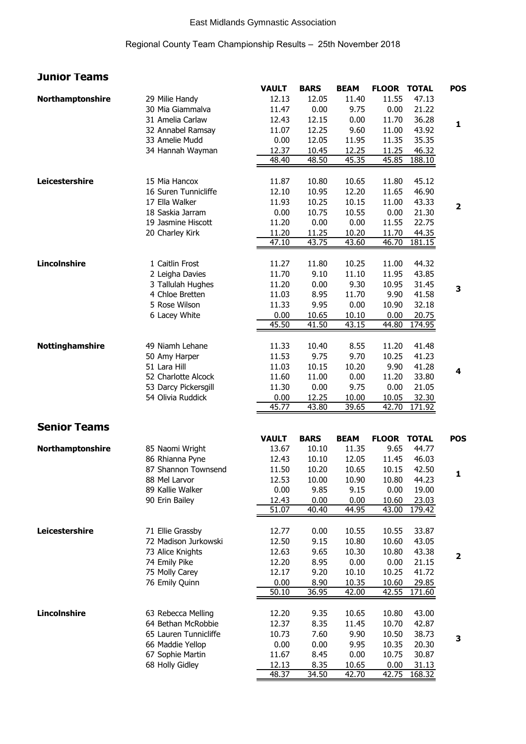### East Midlands Gymnastic Association

### Regional County Team Championship Results – 25th November 2018

# **Junior Teams**

|                     |                       | <b>VAULT</b> | <b>BARS</b> | <b>BEAM</b> | <b>FLOOR</b>       | <b>TOTAL</b> | <b>POS</b>              |
|---------------------|-----------------------|--------------|-------------|-------------|--------------------|--------------|-------------------------|
| Northamptonshire    | 29 Milie Handy        | 12.13        | 12.05       | 11.40       | 11.55              | 47.13        |                         |
|                     | 30 Mia Giammalva      | 11.47        | 0.00        | 9.75        | 0.00               | 21.22        |                         |
|                     | 31 Amelia Carlaw      | 12.43        | 12.15       | 0.00        | 11.70              | 36.28        | $\mathbf{1}$            |
|                     | 32 Annabel Ramsay     | 11.07        | 12.25       | 9.60        | 11.00              | 43.92        |                         |
|                     | 33 Amelie Mudd        | 0.00         | 12.05       | 11.95       | 11.35              | 35.35        |                         |
|                     | 34 Hannah Wayman      | 12.37        | 10.45       | 12.25       | 11.25              | 46.32        |                         |
|                     |                       | 48.40        | 48.50       | 45.35       | 45.85              | 188.10       |                         |
|                     |                       |              |             |             |                    |              |                         |
| Leicestershire      | 15 Mia Hancox         | 11.87        | 10.80       | 10.65       | 11.80              | 45.12        |                         |
|                     | 16 Suren Tunnicliffe  | 12.10        | 10.95       | 12.20       | 11.65              | 46.90        |                         |
|                     | 17 Ella Walker        | 11.93        | 10.25       | 10.15       | 11.00              | 43.33        | 2                       |
|                     | 18 Saskia Jarram      | 0.00         | 10.75       | 10.55       | 0.00               | 21.30        |                         |
|                     | 19 Jasmine Hiscott    | 11.20        | 0.00        | 0.00        | 11.55              | 22.75        |                         |
|                     | 20 Charley Kirk       | 11.20        | 11.25       | 10.20       | 11.70              | 44.35        |                         |
|                     |                       | 47.10        | 43.75       | 43.60       | 46.70              | 181.15       |                         |
| <b>Lincolnshire</b> | 1 Caitlin Frost       | 11.27        | 11.80       | 10.25       | 11.00              | 44.32        |                         |
|                     | 2 Leigha Davies       | 11.70        | 9.10        | 11.10       | 11.95              | 43.85        |                         |
|                     | 3 Tallulah Hughes     | 11.20        | 0.00        | 9.30        | 10.95              | 31.45        |                         |
|                     | 4 Chloe Bretten       | 11.03        | 8.95        | 11.70       | 9.90               | 41.58        | 3                       |
|                     | 5 Rose Wilson         | 11.33        | 9.95        | 0.00        | 10.90              | 32.18        |                         |
|                     | 6 Lacey White         | 0.00         | 10.65       | 10.10       | 0.00               | 20.75        |                         |
|                     |                       | 45.50        | 41.50       | 43.15       | 44.80              | 174.95       |                         |
|                     |                       |              |             |             |                    |              |                         |
| Nottinghamshire     | 49 Niamh Lehane       | 11.33        | 10.40       | 8.55        | 11.20              | 41.48        |                         |
|                     | 50 Amy Harper         | 11.53        | 9.75        | 9.70        | 10.25              | 41.23        |                         |
|                     | 51 Lara Hill          | 11.03        | 10.15       | 10.20       | 9.90               | 41.28        | 4                       |
|                     | 52 Charlotte Alcock   | 11.60        | 11.00       | 0.00        | 11.20              | 33.80        |                         |
|                     | 53 Darcy Pickersgill  | 11.30        | 0.00        | 9.75        | 0.00               | 21.05        |                         |
|                     | 54 Olivia Ruddick     | 0.00         | 12.25       | 10.00       | 10.05              | 32.30        |                         |
|                     |                       | 45.77        | 43.80       | 39.65       | 42.70              | 171.92       |                         |
| <b>Senior Teams</b> |                       |              |             |             |                    |              |                         |
|                     |                       | <b>VAULT</b> | <b>BARS</b> | <b>BEAM</b> | <b>FLOOR TOTAL</b> |              | <b>POS</b>              |
| Northamptonshire    | 85 Naomi Wright       | 13.67        | 10.10       | 11.35       | 9.65               | 44.77        |                         |
|                     | 86 Rhianna Pyne       | 12.43        | 10.10       | 12.05       | 11.45              | 46.03        |                         |
|                     | 87 Shannon Townsend   | 11.50        | 10.20       | 10.65       | 10.15              | 42.50        |                         |
|                     | 88 Mel Larvor         | 12.53        | 10.00       | 10.90       | 10.80              | 44.23        | 1                       |
|                     | 89 Kallie Walker      | 0.00         | 9.85        | 9.15        | 0.00               | 19.00        |                         |
|                     | 90 Erin Bailey        | 12.43        | 0.00        | 0.00        | 10.60              | 23.03        |                         |
|                     |                       | 51.07        | 40.40       | 44.95       | 43.00              | 179.42       |                         |
|                     |                       |              |             |             |                    |              |                         |
| Leicestershire      | 71 Ellie Grassby      | 12.77        | 0.00        | 10.55       | 10.55              | 33.87        |                         |
|                     | 72 Madison Jurkowski  | 12.50        | 9.15        | 10.80       | 10.60              | 43.05        |                         |
|                     | 73 Alice Knights      | 12.63        | 9.65        | 10.30       | 10.80              | 43.38        | $\overline{\mathbf{2}}$ |
|                     | 74 Emily Pike         | 12.20        | 8.95        | 0.00        | 0.00               | 21.15        |                         |
|                     | 75 Molly Carey        | 12.17        | 9.20        | 10.10       | 10.25              | 41.72        |                         |
|                     | 76 Emily Quinn        | 0.00         | 8.90        | 10.35       | 10.60              | 29.85        |                         |
|                     |                       | 50.10        | 36.95       | 42.00       | 42.55              | 171.60       |                         |
| <b>Lincolnshire</b> | 63 Rebecca Melling    | 12.20        | 9.35        | 10.65       | 10.80              | 43.00        |                         |
|                     | 64 Bethan McRobbie    | 12.37        | 8.35        | 11.45       | 10.70              | 42.87        |                         |
|                     | 65 Lauren Tunnicliffe | 10.73        | 7.60        | 9.90        | 10.50              | 38.73        |                         |
|                     | 66 Maddie Yellop      | 0.00         | 0.00        | 9.95        | 10.35              | 20.30        | 3                       |
|                     | 67 Sophie Martin      | 11.67        | 8.45        | 0.00        | 10.75              | 30.87        |                         |
|                     | 68 Holly Gidley       | 12.13        | 8.35        | 10.65       | 0.00               | 31.13        |                         |
|                     |                       | 48.37        | 34.50       | 42.70       | 42.75              | 168.32       |                         |
|                     |                       |              |             |             |                    |              |                         |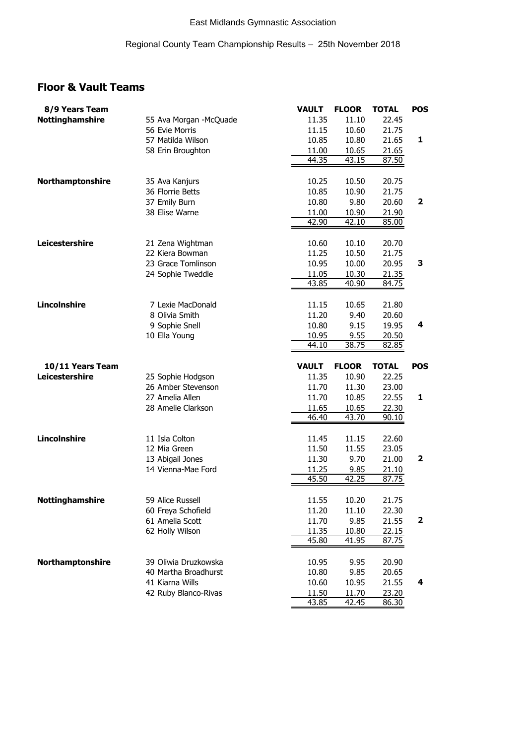## **Floor & Vault Teams**

| 8/9 Years Team         |                        | VAULT          | <b>FLOOR</b>   | TOTAL          | <b>POS</b> |
|------------------------|------------------------|----------------|----------------|----------------|------------|
| <b>Nottinghamshire</b> | 55 Ava Morgan -McQuade | 11.35          | 11.10          | 22.45          |            |
|                        | 56 Evie Morris         | 11.15          | 10.60          | 21.75          |            |
|                        | 57 Matilda Wilson      | 10.85          | 10.80          | 21.65          | 1          |
|                        | 58 Erin Broughton      | 11.00          | 10.65          | 21.65          |            |
|                        |                        | 44.35          | 43.15          | 87.50          |            |
|                        |                        |                |                |                |            |
| Northamptonshire       | 35 Ava Kanjurs         | 10.25          | 10.50          | 20.75          |            |
|                        | 36 Florrie Betts       | 10.85          | 10.90          | 21.75          |            |
|                        | 37 Emily Burn          | 10.80          | 9.80           | 20.60          | 2          |
|                        | 38 Elise Warne         | 11.00          | 10.90          | 21.90          |            |
|                        |                        | 42.90          | 42.10          | 85.00          |            |
|                        |                        |                |                |                |            |
| Leicestershire         | 21 Zena Wightman       | 10.60          | 10.10          | 20.70          |            |
|                        | 22 Kiera Bowman        | 11.25          | 10.50          | 21.75          |            |
|                        | 23 Grace Tomlinson     | 10.95          | 10.00          | 20.95          | 3          |
|                        | 24 Sophie Tweddle      | 11.05          | 10.30          | 21.35          |            |
|                        |                        | 43.85          | 40.90          | 84.75          |            |
|                        |                        |                |                |                |            |
| Lincolnshire           | 7 Lexie MacDonald      | 11.15          |                | 21.80          |            |
|                        | 8 Olivia Smith         |                | 10.65          |                |            |
|                        |                        | 11.20          | 9.40           | 20.60          |            |
|                        | 9 Sophie Snell         | 10.80          | 9.15           | 19.95          | 4          |
|                        | 10 Ella Young          | 10.95          | 9.55<br>38.75  | 20.50          |            |
|                        |                        | 44.10          |                | 82.85          |            |
|                        |                        |                |                |                |            |
|                        |                        |                |                |                |            |
| 10/11 Years Team       |                        | <b>VAULT</b>   | <b>FLOOR</b>   | <b>TOTAL</b>   | <b>POS</b> |
| Leicestershire         | 25 Sophie Hodgson      | 11.35          | 10.90          | 22.25          |            |
|                        | 26 Amber Stevenson     | 11.70          | 11.30          | 23.00          |            |
|                        | 27 Amelia Allen        | 11.70          | 10.85          | 22.55          | 1          |
|                        | 28 Amelie Clarkson     | 11.65          | 10.65          | 22.30          |            |
|                        |                        | 46.40          | 43.70          | 90.10          |            |
|                        |                        |                |                |                |            |
| Lincolnshire           | 11 Isla Colton         | 11.45          | 11.15          | 22.60          |            |
|                        | 12 Mia Green           | 11.50          | 11.55          | 23.05          |            |
|                        | 13 Abigail Jones       | 11.30          | 9.70           | 21.00          | 2          |
|                        | 14 Vienna-Mae Ford     | 11.25          | 9.85           | 21.10          |            |
|                        |                        | 45.50          | 42.25          | 87.75          |            |
|                        |                        |                |                |                |            |
| Nottinghamshire        | 59 Alice Russell       | 11.55          | 10.20          | 21.75          |            |
|                        | 60 Freya Schofield     | 11.20          | 11.10          | 22.30          |            |
|                        | 61 Amelia Scott        | 11.70          | 9.85           | 21.55          | 2          |
|                        | 62 Holly Wilson        | 11.35          | 10.80          | 22.15          |            |
|                        |                        | 45.80          | 41.95          | 87.75          |            |
|                        |                        |                |                |                |            |
| Northamptonshire       | 39 Oliwia Druzkowska   | 10.95          | 9.95           | 20.90          |            |
|                        | 40 Martha Broadhurst   | 10.80          | 9.85           | 20.65          |            |
|                        | 41 Kiarna Wills        | 10.60          | 10.95          | 21.55          | 4          |
|                        | 42 Ruby Blanco-Rivas   | 11.50<br>43.85 | 11.70<br>42.45 | 23.20<br>86.30 |            |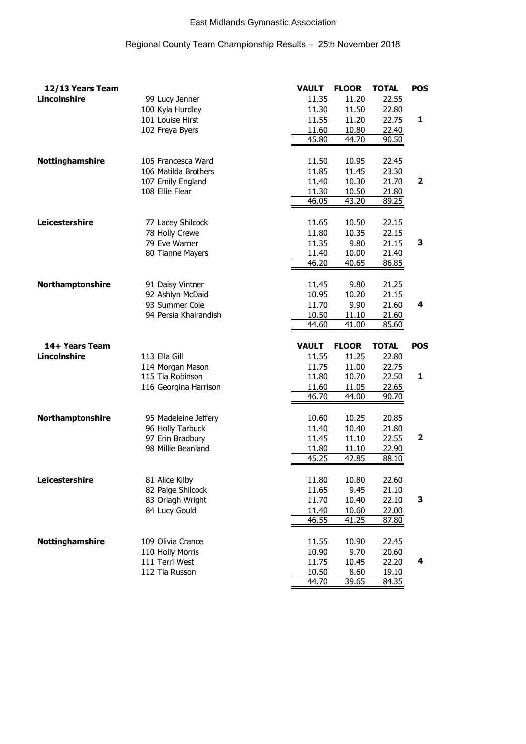### East Midlands Gymnastic Association

### Regional County Team Championship Results – 25th November 2018

| 12/13 Years Team    |                       | <b>VAULT</b>   | <b>FLOOR</b>   | <b>TOTAL</b>          | <b>POS</b> |
|---------------------|-----------------------|----------------|----------------|-----------------------|------------|
| <b>Lincolnshire</b> | 99 Lucy Jenner        | 11.35          | 11.20          | 22.55                 |            |
|                     | 100 Kyla Hurdley      | 11.30          | 11.50          | 22.80                 |            |
|                     | 101 Louise Hirst      | 11.55          | 11.20          | 22.75                 | 1          |
|                     | 102 Freya Byers       | 11.60          | 10.80          | 22.40                 |            |
|                     |                       | 45.80          | 44.70          | 90.50                 |            |
|                     |                       |                |                |                       |            |
| Nottinghamshire     | 105 Francesca Ward    | 11.50          | 10.95          | 22.45                 |            |
|                     | 106 Matilda Brothers  | 11.85          | 11.45          | 23.30                 |            |
|                     | 107 Emily England     | 11.40          | 10.30          | 21.70                 | 2          |
|                     | 108 Ellie Flear       | 11.30          | 10.50          | 21.80                 |            |
|                     |                       | 46.05          | 43.20          | 89.25                 |            |
|                     |                       |                |                |                       |            |
| Leicestershire      | 77 Lacey Shilcock     | 11.65          | 10.50          | 22.15                 |            |
|                     | 78 Holly Crewe        | 11.80          | 10.35          | 22.15                 |            |
|                     | 79 Eve Warner         | 11.35          | 9.80           | 21.15                 | 3          |
|                     | 80 Tianne Mayers      | 11.40          | 10.00          | 21.40                 |            |
|                     |                       | 46.20          | 40.65          | 86.85                 |            |
|                     |                       |                |                |                       |            |
| Northamptonshire    | 91 Daisy Vintner      | 11.45          | 9.80           | 21.25                 |            |
|                     | 92 Ashlyn McDaid      | 10.95          | 10.20          | 21.15                 |            |
|                     | 93 Summer Cole        | 11.70          | 9.90           | 21.60                 | 4          |
|                     | 94 Persia Khairandish |                |                |                       |            |
|                     |                       | 10.50<br>44.60 | 11.10<br>41.00 | 21.60<br>85.60        |            |
|                     |                       |                |                |                       |            |
|                     |                       |                |                |                       |            |
|                     |                       |                |                |                       |            |
| 14+ Years Team      |                       | <b>VAULT</b>   | <b>FLOOR</b>   | <b>TOTAL</b>          | <b>POS</b> |
| <b>Lincolnshire</b> | 113 Ella Gill         | 11.55          | 11.25          | 22.80                 |            |
|                     | 114 Morgan Mason      | 11.75          | 11.00          | 22.75                 |            |
|                     | 115 Tia Robinson      | 11.80          | 10.70          | 22.50                 | 1          |
|                     | 116 Georgina Harrison | 11.60          | 11.05          | 22.65                 |            |
|                     |                       | 46.70          | 44.00          | 90.70                 |            |
|                     |                       |                |                |                       |            |
| Northamptonshire    | 95 Madeleine Jeffery  | 10.60          | 10.25          | 20.85                 |            |
|                     | 96 Holly Tarbuck      | 11.40          | 10.40          | 21.80                 |            |
|                     | 97 Erin Bradbury      | 11.45          | 11.10          | 22.55                 | 2          |
|                     | 98 Millie Beanland    | 11.80          | 11.10          | 22.90                 |            |
|                     |                       | 45.25          | 42.85          | 88.10                 |            |
|                     |                       |                |                |                       |            |
| Leicestershire      | 81 Alice Kilby        | 11.80          | 10.80          | 22.60                 |            |
|                     | 82 Paige Shilcock     | 11.65          | 9.45           | 21.10                 |            |
|                     | 83 Orlagh Wright      | 11.70          | 10.40          | 22.10                 | З          |
|                     | 84 Lucy Gould         | 11.40          | 10.60          | 22.00                 |            |
|                     |                       | 46.55          | 41.25          | 87.80                 |            |
|                     |                       |                |                |                       |            |
| Nottinghamshire     | 109 Olivia Crance     | 11.55          | 10.90          | 22.45                 |            |
|                     | 110 Holly Morris      | 10.90          | 9.70           | 20.60                 |            |
|                     | 111 Terri West        | 11.75          | 10.45          | 22.20                 | 4          |
|                     | 112 Tia Russon        | 10.50<br>44.70 | 8.60<br>39.65  | <u>19.10</u><br>84.35 |            |